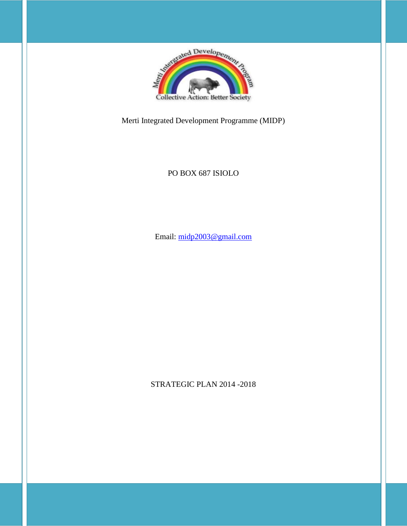

Merti Integrated Development Programme (MIDP)

# PO BOX 687 ISIOLO

Email: [midp2003@gmail.com](mailto:midp2003@gmail.com)

STRATEGIC PLAN 2014 -2018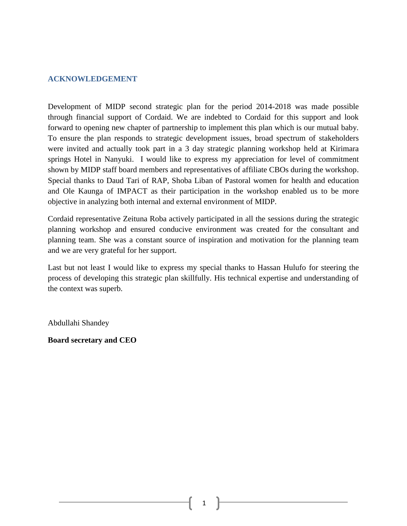#### <span id="page-1-0"></span>**ACKNOWLEDGEMENT**

Development of MIDP second strategic plan for the period 2014-2018 was made possible through financial support of Cordaid. We are indebted to Cordaid for this support and look forward to opening new chapter of partnership to implement this plan which is our mutual baby. To ensure the plan responds to strategic development issues, broad spectrum of stakeholders were invited and actually took part in a 3 day strategic planning workshop held at Kirimara springs Hotel in Nanyuki. I would like to express my appreciation for level of commitment shown by MIDP staff board members and representatives of affiliate CBOs during the workshop. Special thanks to Daud Tari of RAP, Shoba Liban of Pastoral women for health and education and Ole Kaunga of IMPACT as their participation in the workshop enabled us to be more objective in analyzing both internal and external environment of MIDP.

Cordaid representative Zeituna Roba actively participated in all the sessions during the strategic planning workshop and ensured conducive environment was created for the consultant and planning team. She was a constant source of inspiration and motivation for the planning team and we are very grateful for her support.

Last but not least I would like to express my special thanks to Hassan Hulufo for steering the process of developing this strategic plan skillfully. His technical expertise and understanding of the context was superb.

Abdullahi Shandey

**Board secretary and CEO**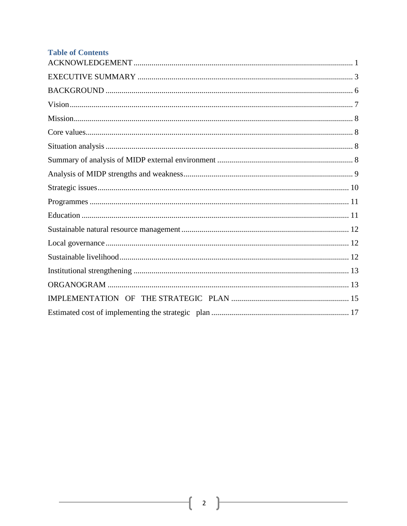| <b>Table of Contents</b> |
|--------------------------|
|                          |
|                          |
|                          |
|                          |
|                          |
|                          |
|                          |
|                          |
|                          |
|                          |
|                          |
|                          |
|                          |
|                          |
|                          |
|                          |
|                          |
|                          |
|                          |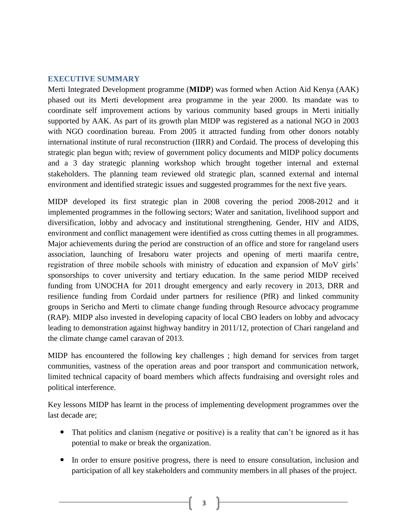#### <span id="page-3-0"></span>**EXECUTIVE SUMMARY**

Merti Integrated Development programme (**MIDP**) was formed when Action Aid Kenya (AAK) phased out its Merti development area programme in the year 2000. Its mandate was to coordinate self improvement actions by various community based groups in Merti initially supported by AAK. As part of its growth plan MIDP was registered as a national NGO in 2003 with NGO coordination bureau. From 2005 it attracted funding from other donors notably international institute of rural reconstruction (IIRR) and Cordaid. The process of developing this strategic plan begun with; review of government policy documents and MIDP policy documents and a 3 day strategic planning workshop which brought together internal and external stakeholders. The planning team reviewed old strategic plan, scanned external and internal environment and identified strategic issues and suggested programmes for the next five years.

MIDP developed its first strategic plan in 2008 covering the period 2008-2012 and it implemented programmes in the following sectors; Water and sanitation, livelihood support and diversification, lobby and advocacy and institutional strengthening. Gender, HIV and AIDS, environment and conflict management were identified as cross cutting themes in all programmes. Major achievements during the period are construction of an office and store for rangeland users association, launching of Iresaboru water projects and opening of merti maarifa centre, registration of three mobile schools with ministry of education and expansion of MoV girls' sponsorships to cover university and tertiary education. In the same period MIDP received funding from UNOCHA for 2011 drought emergency and early recovery in 2013, DRR and resilience funding from Cordaid under partners for resilience (PfR) and linked community groups in Sericho and Merti to climate change funding through Resource advocacy programme (RAP). MIDP also invested in developing capacity of local CBO leaders on lobby and advocacy leading to demonstration against highway banditry in 2011/12, protection of Chari rangeland and the climate change camel caravan of 2013.

MIDP has encountered the following key challenges ; high demand for services from target communities, vastness of the operation areas and poor transport and communication network, limited technical capacity of board members which affects fundraising and oversight roles and political interference.

Key lessons MIDP has learnt in the process of implementing development programmes over the last decade are;

- That politics and clanism (negative or positive) is a reality that can't be ignored as it has potential to make or break the organization.
- In order to ensure positive progress, there is need to ensure consultation, inclusion and participation of all key stakeholders and community members in all phases of the project.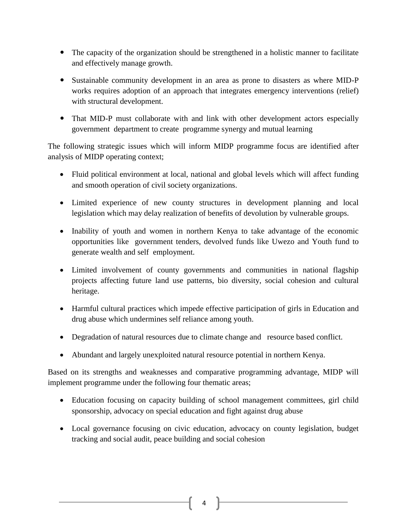- The capacity of the organization should be strengthened in a holistic manner to facilitate and effectively manage growth.
- Sustainable community development in an area as prone to disasters as where MID-P works requires adoption of an approach that integrates emergency interventions (relief) with structural development.
- That MID-P must collaborate with and link with other development actors especially government department to create programme synergy and mutual learning

The following strategic issues which will inform MIDP programme focus are identified after analysis of MIDP operating context;

- Fluid political environment at local, national and global levels which will affect funding and smooth operation of civil society organizations.
- Limited experience of new county structures in development planning and local legislation which may delay realization of benefits of devolution by vulnerable groups.
- Inability of youth and women in northern Kenya to take advantage of the economic opportunities like government tenders, devolved funds like Uwezo and Youth fund to generate wealth and self employment.
- Limited involvement of county governments and communities in national flagship projects affecting future land use patterns, bio diversity, social cohesion and cultural heritage.
- Harmful cultural practices which impede effective participation of girls in Education and drug abuse which undermines self reliance among youth.
- Degradation of natural resources due to climate change and resource based conflict.
- Abundant and largely unexploited natural resource potential in northern Kenya.

Based on its strengths and weaknesses and comparative programming advantage, MIDP will implement programme under the following four thematic areas;

- Education focusing on capacity building of school management committees, girl child sponsorship, advocacy on special education and fight against drug abuse
- Local governance focusing on civic education, advocacy on county legislation, budget tracking and social audit, peace building and social cohesion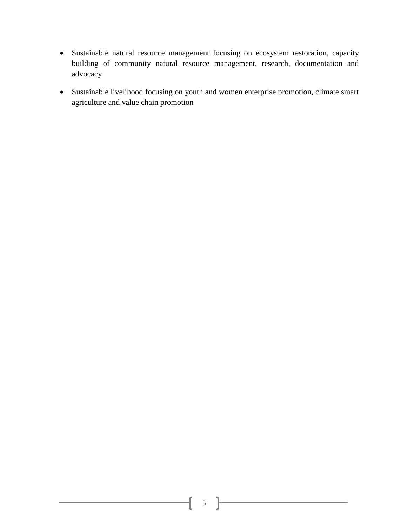- Sustainable natural resource management focusing on ecosystem restoration, capacity building of community natural resource management, research, documentation and advocacy
- <span id="page-5-0"></span> Sustainable livelihood focusing on youth and women enterprise promotion, climate smart agriculture and value chain promotion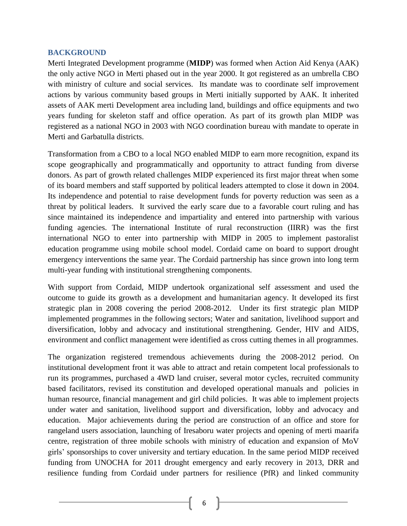#### **BACKGROUND**

Merti Integrated Development programme (**MIDP**) was formed when Action Aid Kenya (AAK) the only active NGO in Merti phased out in the year 2000. It got registered as an umbrella CBO with ministry of culture and social services. Its mandate was to coordinate self improvement actions by various community based groups in Merti initially supported by AAK. It inherited assets of AAK merti Development area including land, buildings and office equipments and two years funding for skeleton staff and office operation. As part of its growth plan MIDP was registered as a national NGO in 2003 with NGO coordination bureau with mandate to operate in Merti and Garbatulla districts.

Transformation from a CBO to a local NGO enabled MIDP to earn more recognition, expand its scope geographically and programmatically and opportunity to attract funding from diverse donors. As part of growth related challenges MIDP experienced its first major threat when some of its board members and staff supported by political leaders attempted to close it down in 2004. Its independence and potential to raise development funds for poverty reduction was seen as a threat by political leaders. It survived the early scare due to a favorable court ruling and has since maintained its independence and impartiality and entered into partnership with various funding agencies. The international Institute of rural reconstruction (IIRR) was the first international NGO to enter into partnership with MIDP in 2005 to implement pastoralist education programme using mobile school model. Cordaid came on board to support drought emergency interventions the same year. The Cordaid partnership has since grown into long term multi-year funding with institutional strengthening components.

With support from Cordaid, MIDP undertook organizational self assessment and used the outcome to guide its growth as a development and humanitarian agency. It developed its first strategic plan in 2008 covering the period 2008-2012. Under its first strategic plan MIDP implemented programmes in the following sectors; Water and sanitation, livelihood support and diversification, lobby and advocacy and institutional strengthening. Gender, HIV and AIDS, environment and conflict management were identified as cross cutting themes in all programmes.

The organization registered tremendous achievements during the 2008-2012 period. On institutional development front it was able to attract and retain competent local professionals to run its programmes, purchased a 4WD land cruiser, several motor cycles, recruited community based facilitators, revised its constitution and developed operational manuals and policies in human resource, financial management and girl child policies. It was able to implement projects under water and sanitation, livelihood support and diversification, lobby and advocacy and education. Major achievements during the period are construction of an office and store for rangeland users association, launching of Iresaboru water projects and opening of merti maarifa centre, registration of three mobile schools with ministry of education and expansion of MoV girls' sponsorships to cover university and tertiary education. In the same period MIDP received funding from UNOCHA for 2011 drought emergency and early recovery in 2013, DRR and resilience funding from Cordaid under partners for resilience (PfR) and linked community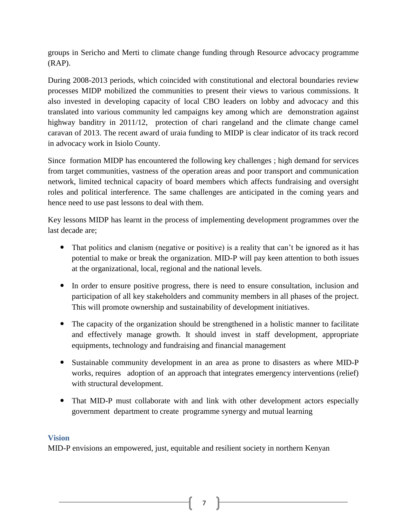groups in Sericho and Merti to climate change funding through Resource advocacy programme (RAP).

During 2008-2013 periods, which coincided with constitutional and electoral boundaries review processes MIDP mobilized the communities to present their views to various commissions. It also invested in developing capacity of local CBO leaders on lobby and advocacy and this translated into various community led campaigns key among which are demonstration against highway banditry in 2011/12, protection of chari rangeland and the climate change camel caravan of 2013. The recent award of uraia funding to MIDP is clear indicator of its track record in advocacy work in Isiolo County.

Since formation MIDP has encountered the following key challenges ; high demand for services from target communities, vastness of the operation areas and poor transport and communication network, limited technical capacity of board members which affects fundraising and oversight roles and political interference. The same challenges are anticipated in the coming years and hence need to use past lessons to deal with them.

Key lessons MIDP has learnt in the process of implementing development programmes over the last decade are;

- That politics and clanism (negative or positive) is a reality that can't be ignored as it has potential to make or break the organization. MID-P will pay keen attention to both issues at the organizational, local, regional and the national levels.
- In order to ensure positive progress, there is need to ensure consultation, inclusion and participation of all key stakeholders and community members in all phases of the project. This will promote ownership and sustainability of development initiatives.
- The capacity of the organization should be strengthened in a holistic manner to facilitate and effectively manage growth. It should invest in staff development, appropriate equipments, technology and fundraising and financial management
- Sustainable community development in an area as prone to disasters as where MID-P works, requires adoption of an approach that integrates emergency interventions (relief) with structural development.
- That MID-P must collaborate with and link with other development actors especially government department to create programme synergy and mutual learning

## <span id="page-7-0"></span>**Vision**

MID-P envisions an empowered, just, equitable and resilient society in northern Kenyan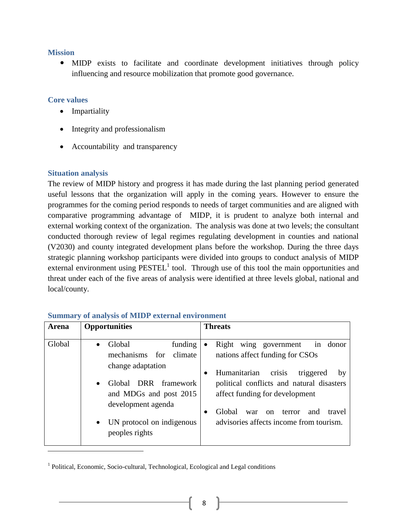#### <span id="page-8-0"></span>**Mission**

 MIDP exists to facilitate and coordinate development initiatives through policy influencing and resource mobilization that promote good governance.

### <span id="page-8-1"></span>**Core values**

- Impartiality
- Integrity and professionalism
- Accountability and transparency

## <span id="page-8-2"></span>**Situation analysis**

 $\overline{\phantom{a}}$ 

The review of MIDP history and progress it has made during the last planning period generated useful lessons that the organization will apply in the coming years. However to ensure the programmes for the coming period responds to needs of target communities and are aligned with comparative programming advantage of MIDP, it is prudent to analyze both internal and external working context of the organization. The analysis was done at two levels; the consultant conducted thorough review of legal regimes regulating development in counties and national (V2030) and county integrated development plans before the workshop. During the three days strategic planning workshop participants were divided into groups to conduct analysis of MIDP external environment using  $PESTEL<sup>1</sup>$  tool. Through use of this tool the main opportunities and threat under each of the five areas of analysis were identified at three levels global, national and local/county.

| Arena  | <b>Opportunities</b>                                                                                                                                                                             | <b>Threats</b>                                                                                                                                                                                                                                                                                                                   |
|--------|--------------------------------------------------------------------------------------------------------------------------------------------------------------------------------------------------|----------------------------------------------------------------------------------------------------------------------------------------------------------------------------------------------------------------------------------------------------------------------------------------------------------------------------------|
| Global | Global<br>funding<br>mechanisms<br>for<br>climate<br>change adaptation<br>DRR framework<br>Global<br>and MDGs and post 2015<br>development agenda<br>UN protocol on indigenous<br>peoples rights | Right<br>wing government<br>donor<br>1n<br>$\bullet$<br>nations affect funding for CSOs<br>crisis<br>Humanitarian<br>triggered<br>by<br>٠<br>political conflicts and natural disasters<br>affect funding for development<br>Global<br>and<br>travel<br>war<br>terror<br><sub>on</sub><br>advisories affects income from tourism. |

## <span id="page-8-3"></span>**Summary of analysis of MIDP external environment**

<sup>&</sup>lt;sup>1</sup> Political, Economic, Socio-cultural, Technological, Ecological and Legal conditions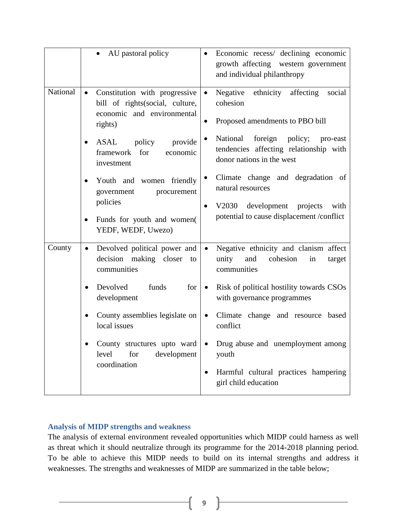|                                                                                                                                                 | AU pastoral policy                                                                                                      | Economic recess/ declining economic<br>growth affecting western government<br>and individual philanthropy                |
|-------------------------------------------------------------------------------------------------------------------------------------------------|-------------------------------------------------------------------------------------------------------------------------|--------------------------------------------------------------------------------------------------------------------------|
| National                                                                                                                                        | Constitution with progressive<br>$\bullet$<br>bill of rights (social, culture,<br>economic and environmental<br>rights) | Negative ethnicity affecting<br>$\bullet$<br>social<br>cohesion<br>Proposed amendments to PBO bill<br>$\bullet$          |
|                                                                                                                                                 | policy<br>ASAL<br>provide<br>$\bullet$<br>framework for<br>economic<br>investment                                       | National foreign policy;<br>pro-east<br>$\bullet$<br>tendencies affecting relationship with<br>donor nations in the west |
| Youth and women friendly<br>$\bullet$<br>government<br>procurement<br>policies<br>Funds for youth and women(<br>$\bullet$<br>YEDF, WEDF, Uwezo) |                                                                                                                         | Climate change and degradation of<br>$\bullet$<br>natural resources<br>V2030 development projects<br>with                |
|                                                                                                                                                 |                                                                                                                         | potential to cause displacement /conflict                                                                                |
| County                                                                                                                                          | Devolved political power and<br>$\bullet$<br>decision making closer<br>to<br>communities                                | Negative ethnicity and clanism affect<br>unity<br>and<br>cohesion<br>in<br>target<br>communities                         |
|                                                                                                                                                 | Devolved<br>funds<br>for<br>$\bullet$<br>development                                                                    | Risk of political hostility towards CSOs<br>$\bullet$<br>with governance programmes                                      |
|                                                                                                                                                 | County assemblies legislate on<br>local issues                                                                          | Climate change and resource based<br>$\bullet$<br>conflict                                                               |
|                                                                                                                                                 | County structures upto ward<br>level<br>development<br>for<br>coordination                                              | Drug abuse and unemployment among<br>youth<br>Harmful cultural practices hampering<br>٠<br>girl child education          |

## <span id="page-9-0"></span>**Analysis of MIDP strengths and weakness**

The analysis of external environment revealed opportunities which MIDP could harness as well as threat which it should neutralize through its programme for the 2014-2018 planning period. To be able to achieve this MIDP needs to build on its internal strengths and address it weaknesses. The strengths and weaknesses of MIDP are summarized in the table below;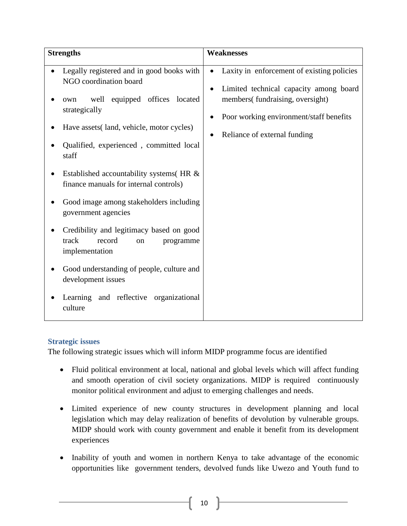| <b>Strengths</b>                                                                                                                                                                                                                                                                                                                                                                                                                                                                                                                                                                                                     | <b>Weaknesses</b>                                                                                                                                                                                               |
|----------------------------------------------------------------------------------------------------------------------------------------------------------------------------------------------------------------------------------------------------------------------------------------------------------------------------------------------------------------------------------------------------------------------------------------------------------------------------------------------------------------------------------------------------------------------------------------------------------------------|-----------------------------------------------------------------------------------------------------------------------------------------------------------------------------------------------------------------|
| Legally registered and in good books with<br>NGO coordination board<br>equipped offices located<br>well<br>own<br>strategically<br>Have assets (land, vehicle, motor cycles)<br>Qualified, experienced, committed local<br>staff<br>Established accountability systems (HR &<br>finance manuals for internal controls)<br>Good image among stakeholders including<br>government agencies<br>Credibility and legitimacy based on good<br>track<br>record<br>programme<br>on<br>implementation<br>Good understanding of people, culture and<br>development issues<br>Learning and reflective organizational<br>culture | Laxity in enforcement of existing policies<br>$\bullet$<br>Limited technical capacity among board<br>members(fundraising, oversight)<br>Poor working environment/staff benefits<br>Reliance of external funding |

## <span id="page-10-0"></span>**Strategic issues**

The following strategic issues which will inform MIDP programme focus are identified

- Fluid political environment at local, national and global levels which will affect funding and smooth operation of civil society organizations. MIDP is required continuously monitor political environment and adjust to emerging challenges and needs.
- Limited experience of new county structures in development planning and local legislation which may delay realization of benefits of devolution by vulnerable groups. MIDP should work with county government and enable it benefit from its development experiences
- Inability of youth and women in northern Kenya to take advantage of the economic opportunities like government tenders, devolved funds like Uwezo and Youth fund to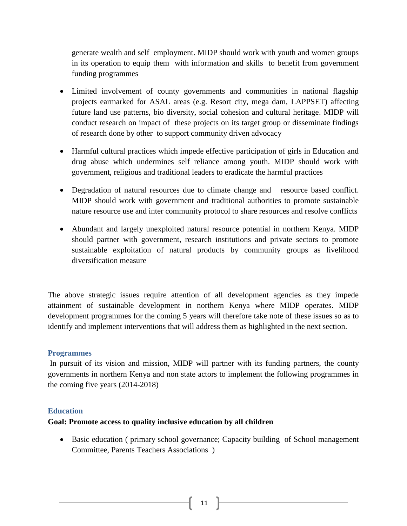generate wealth and self employment. MIDP should work with youth and women groups in its operation to equip them with information and skills to benefit from government funding programmes

- Limited involvement of county governments and communities in national flagship projects earmarked for ASAL areas (e.g. Resort city, mega dam, LAPPSET) affecting future land use patterns, bio diversity, social cohesion and cultural heritage. MIDP will conduct research on impact of these projects on its target group or disseminate findings of research done by other to support community driven advocacy
- Harmful cultural practices which impede effective participation of girls in Education and drug abuse which undermines self reliance among youth. MIDP should work with government, religious and traditional leaders to eradicate the harmful practices
- Degradation of natural resources due to climate change and resource based conflict. MIDP should work with government and traditional authorities to promote sustainable nature resource use and inter community protocol to share resources and resolve conflicts
- Abundant and largely unexploited natural resource potential in northern Kenya. MIDP should partner with government, research institutions and private sectors to promote sustainable exploitation of natural products by community groups as livelihood diversification measure

The above strategic issues require attention of all development agencies as they impede attainment of sustainable development in northern Kenya where MIDP operates. MIDP development programmes for the coming 5 years will therefore take note of these issues so as to identify and implement interventions that will address them as highlighted in the next section.

## <span id="page-11-0"></span>**Programmes**

In pursuit of its vision and mission, MIDP will partner with its funding partners, the county governments in northern Kenya and non state actors to implement the following programmes in the coming five years (2014-2018)

## <span id="page-11-1"></span>**Education**

## **Goal: Promote access to quality inclusive education by all children**

 Basic education ( primary school governance; Capacity building of School management Committee, Parents Teachers Associations )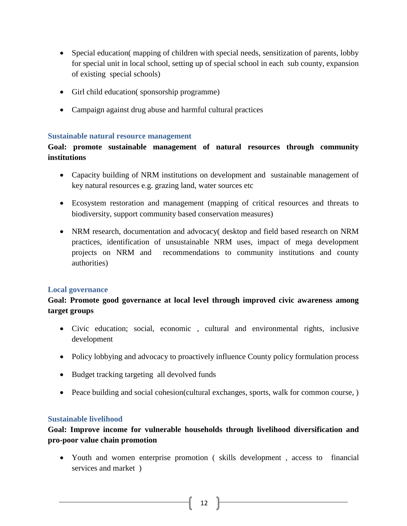- Special education( mapping of children with special needs, sensitization of parents, lobby for special unit in local school, setting up of special school in each sub county, expansion of existing special schools)
- Girl child education( sponsorship programme)
- Campaign against drug abuse and harmful cultural practices

#### <span id="page-12-0"></span>**Sustainable natural resource management**

**Goal: promote sustainable management of natural resources through community institutions**

- Capacity building of NRM institutions on development and sustainable management of key natural resources e.g. grazing land, water sources etc
- Ecosystem restoration and management (mapping of critical resources and threats to biodiversity, support community based conservation measures)
- NRM research, documentation and advocacy( desktop and field based research on NRM practices, identification of unsustainable NRM uses, impact of mega development projects on NRM and recommendations to community institutions and county authorities)

#### <span id="page-12-1"></span>**Local governance**

## **Goal: Promote good governance at local level through improved civic awareness among target groups**

- Civic education; social, economic , cultural and environmental rights, inclusive development
- Policy lobbying and advocacy to proactively influence County policy formulation process
- Budget tracking targeting all devolved funds
- Peace building and social cohesion(cultural exchanges, sports, walk for common course, )

#### <span id="page-12-2"></span>**Sustainable livelihood**

# **Goal: Improve income for vulnerable households through livelihood diversification and pro-poor value chain promotion**

 Youth and women enterprise promotion ( skills development , access to financial services and market )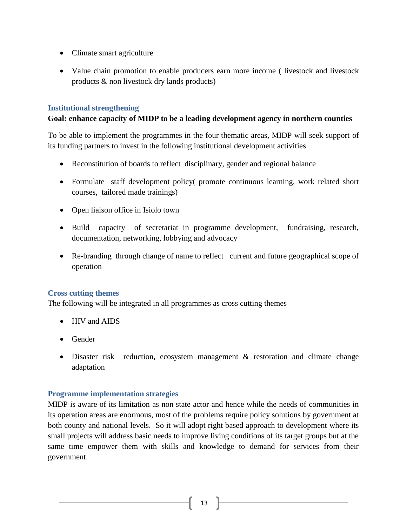- Climate smart agriculture
- Value chain promotion to enable producers earn more income ( livestock and livestock products & non livestock dry lands products)

### <span id="page-13-0"></span>**Institutional strengthening**

#### **Goal: enhance capacity of MIDP to be a leading development agency in northern counties**

To be able to implement the programmes in the four thematic areas, MIDP will seek support of its funding partners to invest in the following institutional development activities

- Reconstitution of boards to reflect disciplinary, gender and regional balance
- Formulate staff development policy( promote continuous learning, work related short courses, tailored made trainings)
- Open liaison office in Isiolo town
- Build capacity of secretariat in programme development, fundraising, research, documentation, networking, lobbying and advocacy
- Re-branding through change of name to reflect current and future geographical scope of operation

## **Cross cutting themes**

The following will be integrated in all programmes as cross cutting themes

- HIV and AIDS
- Gender
- Disaster risk reduction, ecosystem management & restoration and climate change adaptation

#### <span id="page-13-1"></span>**Programme implementation strategies**

MIDP is aware of its limitation as non state actor and hence while the needs of communities in its operation areas are enormous, most of the problems require policy solutions by government at both county and national levels. So it will adopt right based approach to development where its small projects will address basic needs to improve living conditions of its target groups but at the same time empower them with skills and knowledge to demand for services from their government.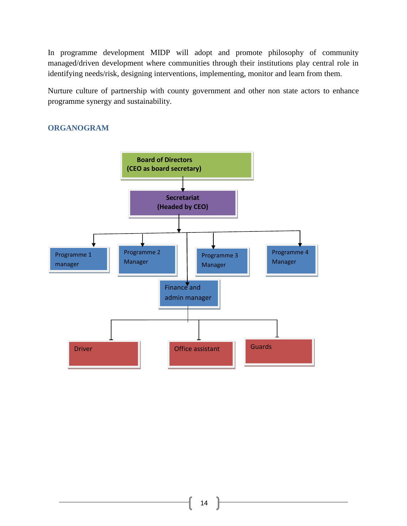In programme development MIDP will adopt and promote philosophy of community managed/driven development where communities through their institutions play central role in identifying needs/risk, designing interventions, implementing, monitor and learn from them.

Nurture culture of partnership with county government and other non state actors to enhance programme synergy and sustainability.

## **ORGANOGRAM**

<span id="page-14-0"></span>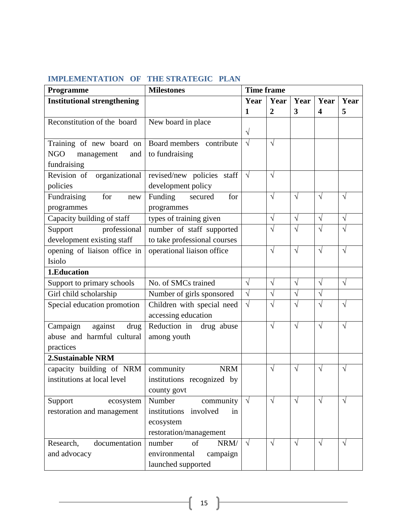# **IMPLEMENTATION OF THE STRATEGIC PLAN**

| Programme                          | <b>Milestones</b>              | <b>Time frame</b> |                |            |                         |            |
|------------------------------------|--------------------------------|-------------------|----------------|------------|-------------------------|------------|
| <b>Institutional strengthening</b> |                                | Year              | Year           | Year       | Year                    | Year       |
|                                    |                                | $\mathbf{1}$      | $\overline{2}$ | 3          | $\overline{\mathbf{4}}$ | 5          |
| Reconstitution of the board        | New board in place             |                   |                |            |                         |            |
|                                    |                                | $\sqrt{}$         |                |            |                         |            |
| Training of new board on           | Board members contribute       | $\sqrt{ }$        | $\sqrt{}$      |            |                         |            |
| <b>NGO</b><br>management<br>and    | to fundraising                 |                   |                |            |                         |            |
| fundraising                        |                                |                   |                |            |                         |            |
| Revision of<br>organizational      | revised/new policies staff     | $\sqrt{ }$        | $\sqrt{}$      |            |                         |            |
| policies                           | development policy             |                   |                |            |                         |            |
| for<br>Fundraising<br>new          | Funding<br>for<br>secured      |                   | $\sqrt{}$      | $\sqrt{}$  | $\sqrt{ }$              | $\sqrt{ }$ |
| programmes                         | programmes                     |                   |                |            |                         |            |
| Capacity building of staff         | types of training given        |                   | $\sqrt{}$      | $\sqrt{ }$ | $\sqrt{}$               | $\sqrt{ }$ |
| Support<br>professional            | number of staff supported      |                   | V              | V          | $\sqrt{}$               | $\sqrt{}$  |
| development existing staff         | to take professional courses   |                   |                |            |                         |            |
| opening of liaison office in       | operational liaison office     |                   | $\sqrt{}$      | $\sqrt{ }$ | $\sqrt{ }$              | $\sqrt{ }$ |
| Isiolo                             |                                |                   |                |            |                         |            |
| 1.Education                        |                                |                   |                |            |                         |            |
| Support to primary schools         | No. of SMCs trained            | $\sqrt{ }$        | $\sqrt{}$      | $\sqrt{}$  | $\sqrt{}$               | $\sqrt{ }$ |
| Girl child scholarship             | Number of girls sponsored      | $\sqrt{ }$        | $\sqrt{}$      | $\sqrt{}$  | $\sqrt{}$               |            |
| Special education promotion        | Children with special need     | $\sqrt{ }$        | V              | V          | $\sqrt{}$               | $\sqrt{}$  |
|                                    | accessing education            |                   |                |            |                         |            |
| Campaign<br>against<br>drug        | Reduction in drug abuse        |                   | $\sqrt{}$      | $\sqrt{ }$ | $\sqrt{ }$              | $\sqrt{ }$ |
| abuse and harmful cultural         | among youth                    |                   |                |            |                         |            |
| practices                          |                                |                   |                |            |                         |            |
| 2. Sustainable NRM                 |                                |                   |                |            |                         |            |
| capacity building of NRM           | community<br><b>NRM</b>        |                   | $\sqrt{}$      | V          | $\sqrt{ }$              | V          |
| institutions at local level        | institutions recognized by     |                   |                |            |                         |            |
|                                    | county govt                    |                   |                |            |                         |            |
| Support<br>ecosystem               | Number<br>community            | $\sqrt{ }$        | $\sqrt{}$      | $\sqrt{ }$ | $\sqrt{ }$              | $\sqrt{ }$ |
| restoration and management         | institutions<br>involved<br>in |                   |                |            |                         |            |
|                                    | ecosystem                      |                   |                |            |                         |            |
|                                    | restoration/management         |                   |                |            |                         |            |
| Research,<br>documentation         | of<br>NRM/<br>number           | $\sqrt{ }$        | $\sqrt{ }$     | $\sqrt{}$  | $\sqrt{ }$              | $\sqrt{ }$ |
| and advocacy                       | environmental<br>campaign      |                   |                |            |                         |            |
|                                    | launched supported             |                   |                |            |                         |            |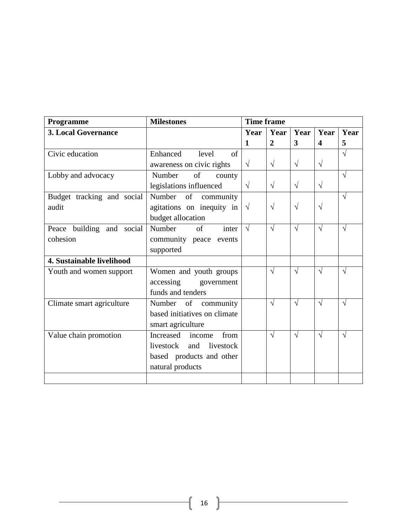| Programme                  | <b>Milestones</b>               | <b>Time frame</b> |                |                         |                         |            |
|----------------------------|---------------------------------|-------------------|----------------|-------------------------|-------------------------|------------|
| <b>3. Local Governance</b> |                                 | Year              | Year           | Year                    | Year                    | Year       |
|                            |                                 | $\mathbf{1}$      | $\overline{2}$ | $\overline{\mathbf{3}}$ | $\overline{\mathbf{4}}$ | 5          |
| Civic education            | Enhanced<br>level<br>$\sigma$ f |                   |                |                         |                         | $\sqrt{ }$ |
|                            | awareness on civic rights       | $\sqrt{ }$        | $\sqrt{}$      | $\sqrt{ }$              | $\sqrt{}$               |            |
| Lobby and advocacy         | Number<br>of<br>county          |                   |                |                         |                         | $\sqrt{}$  |
|                            | legislations influenced         | $\sqrt{ }$        | $\sqrt{}$      | $\sqrt{ }$              | $\sqrt{}$               |            |
| Budget tracking and social | of<br>Number<br>community       |                   |                |                         |                         | $\sqrt{}$  |
| audit                      | agitations on inequity in       | $\sqrt{ }$        | $\sqrt{ }$     | $\sqrt{ }$              | $\sqrt{}$               |            |
|                            | budget allocation               |                   |                |                         |                         |            |
| Peace building and social  | Number<br>of<br>inter           | $\sqrt{ }$        | $\sqrt{ }$     | $\sqrt{ }$              | $\sqrt{ }$              | $\sqrt{ }$ |
| cohesion                   | community peace events          |                   |                |                         |                         |            |
|                            | supported                       |                   |                |                         |                         |            |
| 4. Sustainable livelihood  |                                 |                   |                |                         |                         |            |
| Youth and women support    | Women and youth groups          |                   | $\sqrt{ }$     | $\sqrt{ }$              | $\sqrt{ }$              | $\sqrt{ }$ |
|                            | accessing<br>government         |                   |                |                         |                         |            |
|                            | funds and tenders               |                   |                |                         |                         |            |
| Climate smart agriculture  | Number of<br>community          |                   | V              | $\sqrt{ }$              | V                       | $\sqrt{}$  |
|                            | based initiatives on climate    |                   |                |                         |                         |            |
|                            | smart agriculture               |                   |                |                         |                         |            |
| Value chain promotion      | from<br>Increased<br>income     |                   | V              | $\sqrt{ }$              | $\sqrt{ }$              | $\sqrt{ }$ |
|                            | livestock<br>and<br>livestock   |                   |                |                         |                         |            |
|                            | based products and other        |                   |                |                         |                         |            |
|                            | natural products                |                   |                |                         |                         |            |
|                            |                                 |                   |                |                         |                         |            |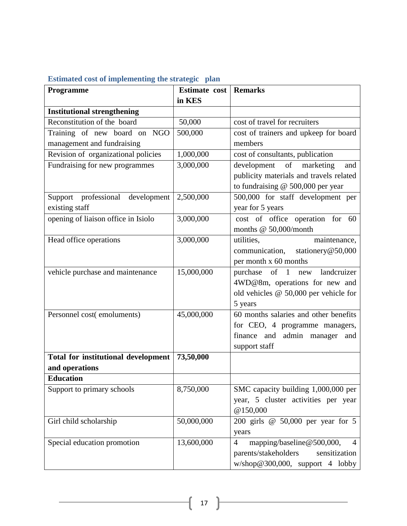<span id="page-17-0"></span>

| Estimated cost of implementing the strategic plan |  |  |  |  |
|---------------------------------------------------|--|--|--|--|
|                                                   |  |  |  |  |

| Programme                                  | Estimate cost | <b>Remarks</b>                                   |
|--------------------------------------------|---------------|--------------------------------------------------|
|                                            | in KES        |                                                  |
| <b>Institutional strengthening</b>         |               |                                                  |
| Reconstitution of the board                | 50,000        | cost of travel for recruiters                    |
| Training of new board on NGO               | 500,000       | cost of trainers and upkeep for board            |
| management and fundraising                 |               | members                                          |
| Revision of organizational policies        | 1,000,000     | cost of consultants, publication                 |
| Fundraising for new programmes             | 3,000,000     | development of<br>marketing<br>and               |
|                                            |               | publicity materials and travels related          |
|                                            |               | to fundraising $@$ 500,000 per year              |
| professional<br>development<br>Support     | 2,500,000     | 500,000 for staff development per                |
| existing staff                             |               | year for 5 years                                 |
| opening of liaison office in Isiolo        | 3,000,000     | cost of office operation for 60                  |
|                                            |               | months @ 50,000/month                            |
| Head office operations                     | 3,000,000     | utilities,<br>maintenance,                       |
|                                            |               | communication, stationery@50,000                 |
|                                            |               | per month x 60 months                            |
| vehicle purchase and maintenance           | 15,000,000    | $of \quad 1$<br>landcruizer<br>purchase<br>new   |
|                                            |               | 4WD@8m, operations for new and                   |
|                                            |               | old vehicles @ 50,000 per vehicle for            |
|                                            |               | 5 years                                          |
| Personnel cost(emoluments)                 | 45,000,000    | 60 months salaries and other benefits            |
|                                            |               | for CEO, 4 programme managers,                   |
|                                            |               | finance and admin manager and                    |
|                                            |               | support staff                                    |
| <b>Total for institutional development</b> | 73,50,000     |                                                  |
| and operations                             |               |                                                  |
| <b>Education</b>                           |               |                                                  |
| Support to primary schools                 | 8,750,000     | SMC capacity building 1,000,000 per              |
|                                            |               | year, 5 cluster activities per year              |
|                                            |               | @150,000                                         |
| Girl child scholarship                     | 50,000,000    | 200 girls @ 50,000 per year for 5                |
|                                            |               | years                                            |
| Special education promotion                | 13,600,000    | mapping/baseline@500,000,<br>$\overline{4}$<br>4 |
|                                            |               | parents/stakeholders<br>sensitization            |
|                                            |               | $w/\text{shop@}300,000$ , support 4 lobby        |